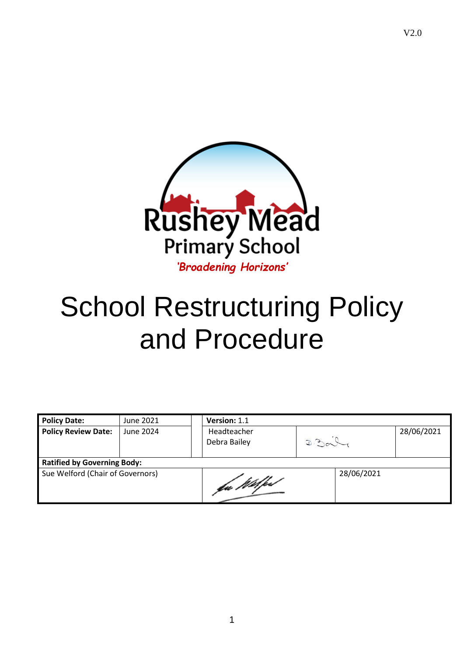

# School Restructuring Policy and Procedure

| <b>Policy Date:</b>                | June 2021 | Version: 1.1                |            |            |  |  |  |
|------------------------------------|-----------|-----------------------------|------------|------------|--|--|--|
| <b>Policy Review Date:</b>         | June 2024 | Headteacher<br>Debra Bailey | D.20       | 28/06/2021 |  |  |  |
| <b>Ratified by Governing Body:</b> |           |                             |            |            |  |  |  |
| Sue Welford (Chair of Governors)   |           | fa Wilked                   | 28/06/2021 |            |  |  |  |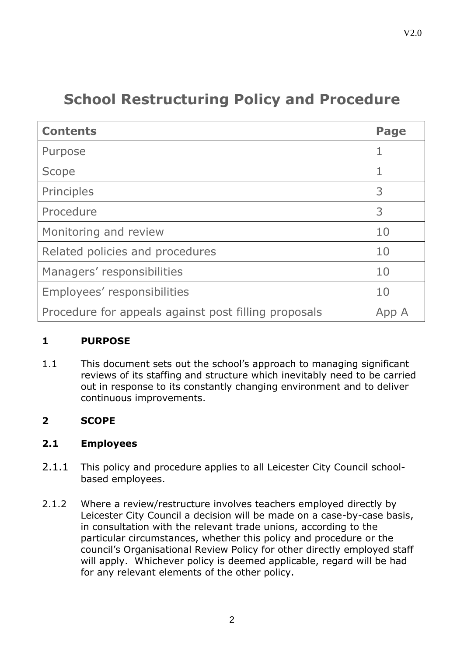# **School Restructuring Policy and Procedure**

| <b>Contents</b>                                      | Page |  |
|------------------------------------------------------|------|--|
| Purpose                                              | 1    |  |
| Scope                                                |      |  |
| Principles                                           | 3    |  |
| Procedure                                            | 3    |  |
| Monitoring and review                                | 10   |  |
| Related policies and procedures                      |      |  |
| Managers' responsibilities                           |      |  |
| Employees' responsibilities                          |      |  |
| Procedure for appeals against post filling proposals |      |  |

# **1 PURPOSE**

1.1 This document sets out the school's approach to managing significant reviews of its staffing and structure which inevitably need to be carried out in response to its constantly changing environment and to deliver continuous improvements.

# **2 SCOPE**

#### **2.1 Employees**

- 2.1.1 This policy and procedure applies to all Leicester City Council schoolbased employees.
- 2.1.2 Where a review/restructure involves teachers employed directly by Leicester City Council a decision will be made on a case-by-case basis, in consultation with the relevant trade unions, according to the particular circumstances, whether this policy and procedure or the council's Organisational Review Policy for other directly employed staff will apply. Whichever policy is deemed applicable, regard will be had for any relevant elements of the other policy.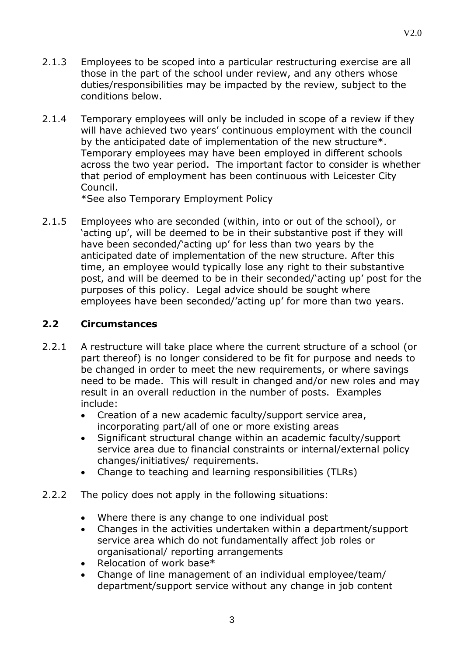- 2.1.3 Employees to be scoped into a particular restructuring exercise are all those in the part of the school under review, and any others whose duties/responsibilities may be impacted by the review, subject to the conditions below.
- 2.1.4 Temporary employees will only be included in scope of a review if they will have achieved two years' continuous employment with the council by the anticipated date of implementation of the new structure\*. Temporary employees may have been employed in different schools across the two year period. The important factor to consider is whether that period of employment has been continuous with Leicester City Council.

\*See also Temporary Employment Policy

2.1.5 Employees who are seconded (within, into or out of the school), or 'acting up', will be deemed to be in their substantive post if they will have been seconded/'acting up' for less than two years by the anticipated date of implementation of the new structure. After this time, an employee would typically lose any right to their substantive post, and will be deemed to be in their seconded/'acting up' post for the purposes of this policy. Legal advice should be sought where employees have been seconded/'acting up' for more than two years.

# **2.2 Circumstances**

- 2.2.1 A restructure will take place where the current structure of a school (or part thereof) is no longer considered to be fit for purpose and needs to be changed in order to meet the new requirements, or where savings need to be made. This will result in changed and/or new roles and may result in an overall reduction in the number of posts. Examples include:
	- Creation of a new academic faculty/support service area, incorporating part/all of one or more existing areas
	- Significant structural change within an academic faculty/support service area due to financial constraints or internal/external policy changes/initiatives/ requirements.
	- Change to teaching and learning responsibilities (TLRs)
- 2.2.2 The policy does not apply in the following situations:
	- Where there is any change to one individual post
	- Changes in the activities undertaken within a department/support service area which do not fundamentally affect job roles or organisational/ reporting arrangements
	- Relocation of work base\*
	- Change of line management of an individual employee/team/ department/support service without any change in job content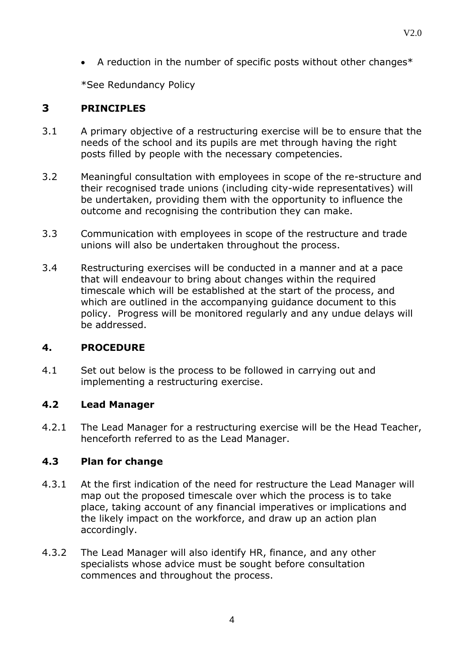• A reduction in the number of specific posts without other changes\*

\*See Redundancy Policy

# **3 PRINCIPLES**

- 3.1 A primary objective of a restructuring exercise will be to ensure that the needs of the school and its pupils are met through having the right posts filled by people with the necessary competencies.
- 3.2 Meaningful consultation with employees in scope of the re-structure and their recognised trade unions (including city-wide representatives) will be undertaken, providing them with the opportunity to influence the outcome and recognising the contribution they can make.
- 3.3 Communication with employees in scope of the restructure and trade unions will also be undertaken throughout the process.
- 3.4 Restructuring exercises will be conducted in a manner and at a pace that will endeavour to bring about changes within the required timescale which will be established at the start of the process, and which are outlined in the accompanying guidance document to this policy. Progress will be monitored regularly and any undue delays will be addressed.

# **4. PROCEDURE**

4.1 Set out below is the process to be followed in carrying out and implementing a restructuring exercise.

# **4.2 Lead Manager**

4.2.1 The Lead Manager for a restructuring exercise will be the Head Teacher, henceforth referred to as the Lead Manager.

# **4.3 Plan for change**

- 4.3.1 At the first indication of the need for restructure the Lead Manager will map out the proposed timescale over which the process is to take place, taking account of any financial imperatives or implications and the likely impact on the workforce, and draw up an action plan accordingly.
- 4.3.2 The Lead Manager will also identify HR, finance, and any other specialists whose advice must be sought before consultation commences and throughout the process.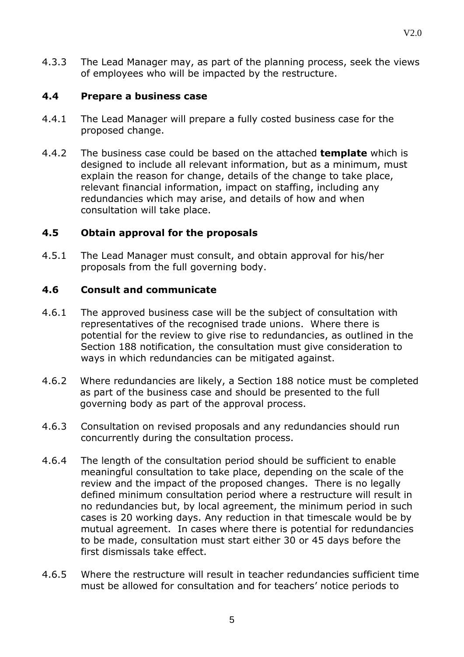4.3.3 The Lead Manager may, as part of the planning process, seek the views of employees who will be impacted by the restructure.

#### **4.4 Prepare a business case**

- 4.4.1 The Lead Manager will prepare a fully costed business case for the proposed change.
- 4.4.2 The business case could be based on the attached **[template](http://www.leicester.gov.uk/EasySiteWeb/GatewayLink.aspx?alId=75210)** which is designed to include all relevant information, but as a minimum, must explain the reason for change, details of the change to take place, relevant financial information, impact on staffing, including any redundancies which may arise, and details of how and when consultation will take place.

#### **4.5 Obtain approval for the proposals**

4.5.1 The Lead Manager must consult, and obtain approval for his/her proposals from the full governing body.

#### **4.6 Consult and communicate**

- 4.6.1 The approved business case will be the subject of consultation with representatives of the recognised trade unions. Where there is potential for the review to give rise to redundancies, as outlined in the Section 188 notification, the consultation must give consideration to ways in which redundancies can be mitigated against.
- 4.6.2 Where redundancies are likely, a Section 188 notice must be completed as part of the business case and should be presented to the full governing body as part of the approval process.
- 4.6.3 Consultation on revised proposals and any redundancies should run concurrently during the consultation process.
- 4.6.4 The length of the consultation period should be sufficient to enable meaningful consultation to take place, depending on the scale of the review and the impact of the proposed changes. There is no legally defined minimum consultation period where a restructure will result in no redundancies but, by local agreement, the minimum period in such cases is 20 working days. Any reduction in that timescale would be by mutual agreement. In cases where there is potential for redundancies to be made, consultation must start either 30 or 45 days before the first dismissals take effect.
- 4.6.5 Where the restructure will result in teacher redundancies sufficient time must be allowed for consultation and for teachers' notice periods to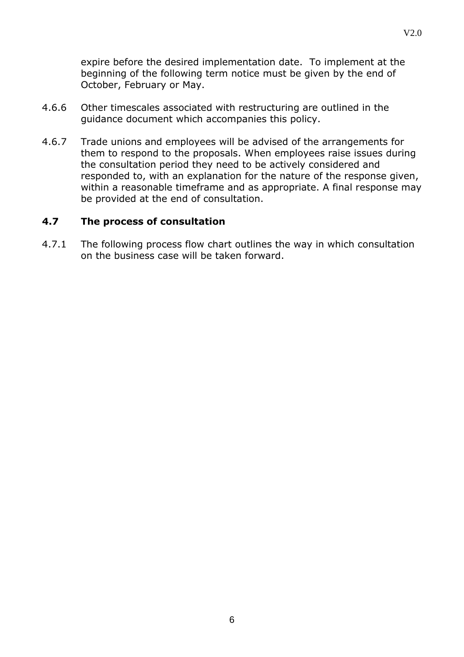expire before the desired implementation date. To implement at the beginning of the following term notice must be given by the end of October, February or May.

- 4.6.6 Other timescales associated with restructuring are outlined in the guidance document which accompanies this policy.
- 4.6.7 Trade unions and employees will be advised of the arrangements for them to respond to the proposals. When employees raise issues during the consultation period they need to be actively considered and responded to, with an explanation for the nature of the response given, within a reasonable timeframe and as appropriate. A final response may be provided at the end of consultation.

#### **4.7 The process of consultation**

4.7.1 The following process flow chart outlines the way in which consultation on the business case will be taken forward.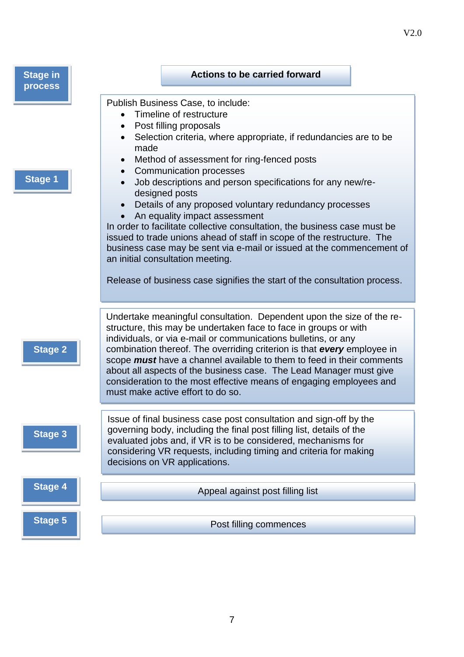| <b>Stage in</b><br>process | <b>Actions to be carried forward</b>                                                                                                                                                                                                                                                                                                                                                                                                                                                                                                                                                                                                                                                                                                                                                         |
|----------------------------|----------------------------------------------------------------------------------------------------------------------------------------------------------------------------------------------------------------------------------------------------------------------------------------------------------------------------------------------------------------------------------------------------------------------------------------------------------------------------------------------------------------------------------------------------------------------------------------------------------------------------------------------------------------------------------------------------------------------------------------------------------------------------------------------|
| <b>Stage 1</b>             | Publish Business Case, to include:<br>Timeline of restructure<br>Post filling proposals<br>Selection criteria, where appropriate, if redundancies are to be<br>made<br>Method of assessment for ring-fenced posts<br><b>Communication processes</b><br>$\bullet$<br>Job descriptions and person specifications for any new/re-<br>designed posts<br>Details of any proposed voluntary redundancy processes<br>An equality impact assessment<br>In order to facilitate collective consultation, the business case must be<br>issued to trade unions ahead of staff in scope of the restructure. The<br>business case may be sent via e-mail or issued at the commencement of<br>an initial consultation meeting.<br>Release of business case signifies the start of the consultation process. |
| <b>Stage 2</b>             | Undertake meaningful consultation. Dependent upon the size of the re-<br>structure, this may be undertaken face to face in groups or with<br>individuals, or via e-mail or communications bulletins, or any<br>combination thereof. The overriding criterion is that every employee in<br>scope must have a channel available to them to feed in their comments<br>about all aspects of the business case. The Lead Manager must give<br>consideration to the most effective means of engaging employees and<br>must make active effort to do so.                                                                                                                                                                                                                                            |
| <b>Stage 3</b>             | Issue of final business case post consultation and sign-off by the<br>governing body, including the final post filling list, details of the<br>evaluated jobs and, if VR is to be considered, mechanisms for<br>considering VR requests, including timing and criteria for making<br>decisions on VR applications.                                                                                                                                                                                                                                                                                                                                                                                                                                                                           |
| <b>Stage 4</b>             | Appeal against post filling list                                                                                                                                                                                                                                                                                                                                                                                                                                                                                                                                                                                                                                                                                                                                                             |
| <b>Stage 5</b>             | Post filling commences                                                                                                                                                                                                                                                                                                                                                                                                                                                                                                                                                                                                                                                                                                                                                                       |

V2.0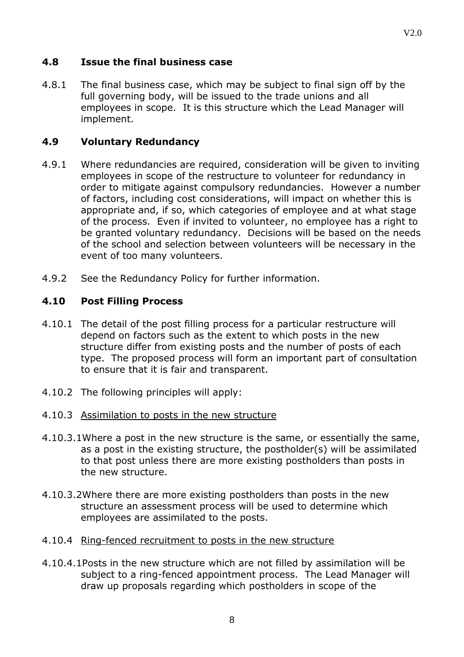## **4.8 Issue the final business case**

4.8.1 The final business case, which may be subject to final sign off by the full governing body, will be issued to the trade unions and all employees in scope. It is this structure which the Lead Manager will implement.

#### **4.9 Voluntary Redundancy**

- 4.9.1 Where redundancies are required, consideration will be given to inviting employees in scope of the restructure to volunteer for redundancy in order to mitigate against compulsory redundancies. However a number of factors, including cost considerations, will impact on whether this is appropriate and, if so, which categories of employee and at what stage of the process. Even if invited to volunteer, no employee has a right to be granted voluntary redundancy. Decisions will be based on the needs of the school and selection between volunteers will be necessary in the event of too many volunteers.
- 4.9.2 See the Redundancy Policy for further information.

#### **4.10 Post Filling Process**

- 4.10.1 The detail of the post filling process for a particular restructure will depend on factors such as the extent to which posts in the new structure differ from existing posts and the number of posts of each type. The proposed process will form an important part of consultation to ensure that it is fair and transparent.
- 4.10.2 The following principles will apply:
- 4.10.3 Assimilation to posts in the new structure
- 4.10.3.1Where a post in the new structure is the same, or essentially the same, as a post in the existing structure, the postholder(s) will be assimilated to that post unless there are more existing postholders than posts in the new structure.
- 4.10.3.2Where there are more existing postholders than posts in the new structure an assessment process will be used to determine which employees are assimilated to the posts.
- 4.10.4 Ring-fenced recruitment to posts in the new structure
- 4.10.4.1Posts in the new structure which are not filled by assimilation will be subject to a ring-fenced appointment process. The Lead Manager will draw up proposals regarding which postholders in scope of the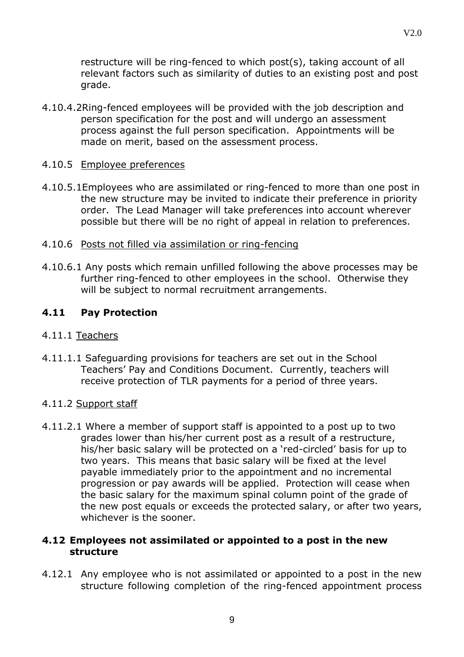restructure will be ring-fenced to which post(s), taking account of all relevant factors such as similarity of duties to an existing post and post grade.

4.10.4.2Ring-fenced employees will be provided with the job description and person specification for the post and will undergo an assessment process against the full person specification. Appointments will be made on merit, based on the assessment process.

#### 4.10.5 Employee preferences

4.10.5.1Employees who are assimilated or ring-fenced to more than one post in the new structure may be invited to indicate their preference in priority order. The Lead Manager will take preferences into account wherever possible but there will be no right of appeal in relation to preferences.

# 4.10.6 Posts not filled via assimilation or ring-fencing

4.10.6.1 Any posts which remain unfilled following the above processes may be further ring-fenced to other employees in the school. Otherwise they will be subject to normal recruitment arrangements.

# **4.11 Pay Protection**

#### 4.11.1 Teachers

4.11.1.1 Safeguarding provisions for teachers are set out in the School Teachers' Pay and Conditions Document. Currently, teachers will receive protection of TLR payments for a period of three years.

# 4.11.2 Support staff

4.11.2.1 Where a member of support staff is appointed to a post up to two grades lower than his/her current post as a result of a restructure, his/her basic salary will be protected on a 'red-circled' basis for up to two years. This means that basic salary will be fixed at the level payable immediately prior to the appointment and no incremental progression or pay awards will be applied. Protection will cease when the basic salary for the maximum spinal column point of the grade of the new post equals or exceeds the protected salary, or after two years, whichever is the sooner.

#### **4.12 Employees not assimilated or appointed to a post in the new structure**

4.12.1 Any employee who is not assimilated or appointed to a post in the new structure following completion of the ring-fenced appointment process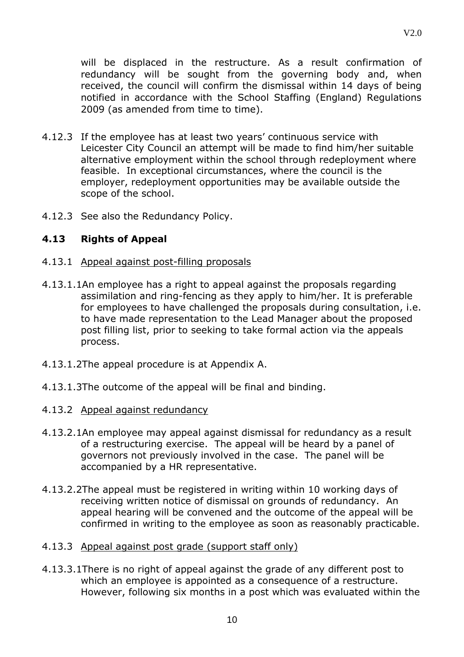V2.0

will be displaced in the restructure. As a result confirmation of redundancy will be sought from the governing body and, when received, the council will confirm the dismissal within 14 days of being notified in accordance with the School Staffing (England) Regulations 2009 (as amended from time to time).

- 4.12.3 If the employee has at least two years' continuous service with Leicester City Council an attempt will be made to find him/her suitable alternative employment within the school through redeployment where feasible. In exceptional circumstances, where the council is the employer, redeployment opportunities may be available outside the scope of the school.
- 4.12.3 See also the Redundancy Policy.

#### **4.13 Rights of Appeal**

- 4.13.1 Appeal against post-filling proposals
- 4.13.1.1An employee has a right to appeal against the proposals regarding assimilation and ring-fencing as they apply to him/her. It is preferable for employees to have challenged the proposals during consultation, i.e. to have made representation to the Lead Manager about the proposed post filling list, prior to seeking to take formal action via the appeals process.
- 4.13.1.2The appeal procedure is at Appendix A.
- 4.13.1.3The outcome of the appeal will be final and binding.
- 4.13.2 Appeal against redundancy
- 4.13.2.1An employee may appeal against dismissal for redundancy as a result of a restructuring exercise. The appeal will be heard by a panel of governors not previously involved in the case. The panel will be accompanied by a HR representative.
- 4.13.2.2The appeal must be registered in writing within 10 working days of receiving written notice of dismissal on grounds of redundancy. An appeal hearing will be convened and the outcome of the appeal will be confirmed in writing to the employee as soon as reasonably practicable.
- 4.13.3 Appeal against post grade (support staff only)
- 4.13.3.1There is no right of appeal against the grade of any different post to which an employee is appointed as a consequence of a restructure. However, following six months in a post which was evaluated within the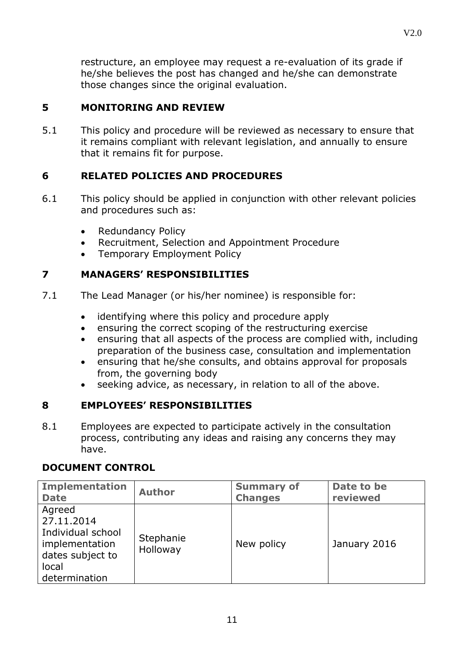restructure, an employee may request a re-evaluation of its grade if he/she believes the post has changed and he/she can demonstrate those changes since the original evaluation.

# **5 MONITORING AND REVIEW**

5.1 This policy and procedure will be reviewed as necessary to ensure that it remains compliant with relevant legislation, and annually to ensure that it remains fit for purpose.

#### **6 RELATED POLICIES AND PROCEDURES**

- 6.1 This policy should be applied in conjunction with other relevant policies and procedures such as:
	- Redundancy Policy
	- Recruitment, Selection and Appointment Procedure
	- Temporary Employment Policy

#### **7 MANAGERS' RESPONSIBILITIES**

- 7.1 The Lead Manager (or his/her nominee) is responsible for:
	- identifying where this policy and procedure apply
	- ensuring the correct scoping of the restructuring exercise
	- ensuring that all aspects of the process are complied with, including preparation of the business case, consultation and implementation
	- ensuring that he/she consults, and obtains approval for proposals from, the governing body
	- seeking advice, as necessary, in relation to all of the above.

#### **8 EMPLOYEES' RESPONSIBILITIES**

8.1 Employees are expected to participate actively in the consultation process, contributing any ideas and raising any concerns they may have.

#### **DOCUMENT CONTROL**

| <b>Implementation</b>                                                                                     | <b>Author</b>         | <b>Summary of</b> | Date to be   |
|-----------------------------------------------------------------------------------------------------------|-----------------------|-------------------|--------------|
| <b>Date</b>                                                                                               |                       | <b>Changes</b>    | reviewed     |
| Agreed<br>27.11.2014<br>Individual school<br>implementation<br>dates subject to<br>local<br>determination | Stephanie<br>Holloway | New policy        | January 2016 |